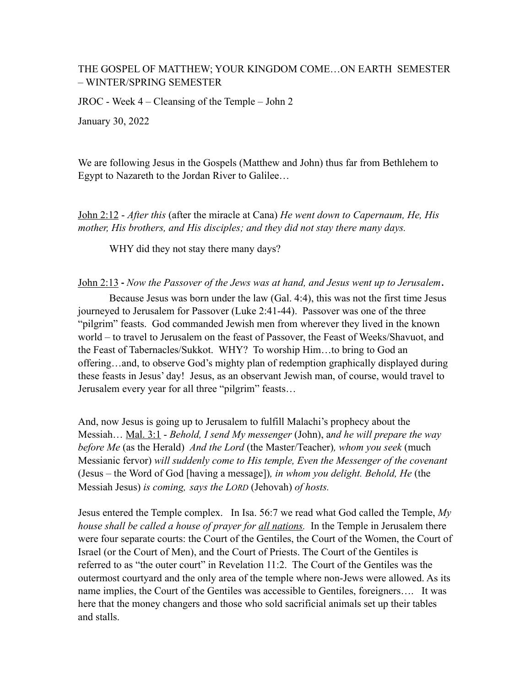# THE GOSPEL OF MATTHEW; YOUR KINGDOM COME…ON EARTH SEMESTER – WINTER/SPRING SEMESTER

JROC - Week 4 – Cleansing of the Temple – John 2

January 30, 2022

We are following Jesus in the Gospels (Matthew and John) thus far from Bethlehem to Egypt to Nazareth to the Jordan River to Galilee…

John 2:12 - *After this* (after the miracle at Cana) *He went down to Capernaum, He, His mother, His brothers, and His disciples; and they did not stay there many days.* 

WHY did they not stay there many days?

John 2:13 **-** *Now the Passover of the Jews was at hand, and Jesus went up to Jerusalem*.

 Because Jesus was born under the law (Gal. 4:4), this was not the first time Jesus journeyed to Jerusalem for Passover (Luke 2:41-44). Passover was one of the three "pilgrim" feasts. God commanded Jewish men from wherever they lived in the known world – to travel to Jerusalem on the feast of Passover, the Feast of Weeks/Shavuot, and the Feast of Tabernacles/Sukkot. WHY? To worship Him…to bring to God an offering…and, to observe God's mighty plan of redemption graphically displayed during these feasts in Jesus' day! Jesus, as an observant Jewish man, of course, would travel to Jerusalem every year for all three "pilgrim" feasts…

And, now Jesus is going up to Jerusalem to fulfill Malachi's prophecy about the Messiah… Mal. 3:1 - *Behold, I send My messenger* (John), a*nd he will prepare the way before Me* (as the Herald) *And the Lord* (the Master/Teacher)*, whom you seek* (much Messianic fervor) *will suddenly come to His temple, Even the Messenger of the covenant*  (Jesus – the Word of God [having a message])*, in whom you delight. Behold, He* (the Messiah Jesus) *is coming, says the LORD* (Jehovah) *of hosts.*

Jesus entered the Temple complex. In Isa. 56:7 we read what God called the Temple, *My house shall be called a house of prayer for all nations.* In the Temple in Jerusalem there were four separate courts: the Court of the Gentiles, the Court of the Women, the Court of Israel (or the Court of Men), and the Court of Priests. The Court of the Gentiles is referred to as "the outer court" in Revelation 11:2. The Court of the Gentiles was the outermost courtyard and the only area of the temple where non-Jews were allowed. As its name implies, the Court of the Gentiles was accessible to Gentiles, foreigners…. It was here that the money changers and those who sold sacrificial animals set up their tables and stalls.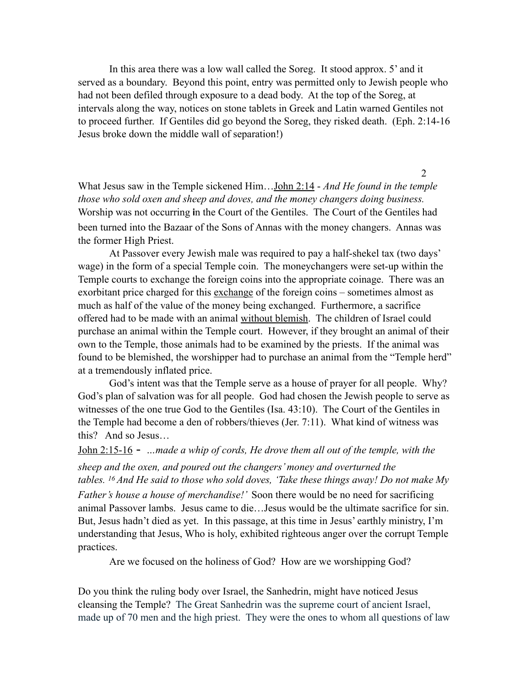In this area there was a low wall called the Soreg. It stood approx. 5' and it served as a boundary. Beyond this point, entry was permitted only to Jewish people who had not been defiled through exposure to a dead body. At the top of the Soreg, at intervals along the way, notices on stone tablets in Greek and Latin warned Gentiles not to proceed further. If Gentiles did go beyond the Soreg, they risked death. (Eph. 2:14-16 Jesus broke down the middle wall of separation!)

What Jesus saw in the Temple sickened Him…John 2:14 - *And He found in the temple those who sold oxen and sheep and doves, and the money changers doing business.*  Worship was not occurring **i**n the Court of the Gentiles. The Court of the Gentiles had been turned into the Bazaar of the Sons of Annas with the money changers. Annas was the former High Priest.

At Passover every Jewish male was required to pay a half-shekel tax (two days' wage) in the form of a special Temple coin. The moneychangers were set-up within the Temple courts to exchange the foreign coins into the appropriate coinage. There was an exorbitant price charged for this exchange of the foreign coins – sometimes almost as much as half of the value of the money being exchanged. Furthermore, a sacrifice offered had to be made with an animal without blemish. The children of Israel could purchase an animal within the Temple court. However, if they brought an animal of their own to the Temple, those animals had to be examined by the priests. If the animal was found to be blemished, the worshipper had to purchase an animal from the "Temple herd" at a tremendously inflated price.

God's intent was that the Temple serve as a house of prayer for all people. Why? God's plan of salvation was for all people. God had chosen the Jewish people to serve as witnesses of the one true God to the Gentiles (Isa. 43:10). The Court of the Gentiles in the Temple had become a den of robbers/thieves (Jer. 7:11). What kind of witness was this? And so Jesus…

John 2:15-16 - *…made a whip of cords, He drove them all out of the temple, with the sheep and the oxen, and poured out the changers' money and overturned the tables. 16 And He said to those who sold doves, 'Take these things away! Do not make My Father's house a house of merchandise!'* Soon there would be no need for sacrificing animal Passover lambs. Jesus came to die…Jesus would be the ultimate sacrifice for sin. But, Jesus hadn't died as yet. In this passage, at this time in Jesus' earthly ministry, I'm understanding that Jesus, Who is holy, exhibited righteous anger over the corrupt Temple practices.

Are we focused on the holiness of God? How are we worshipping God?

Do you think the ruling body over Israel, the Sanhedrin, might have noticed Jesus cleansing the Temple? The Great Sanhedrin was the supreme court of ancient Israel, made up of 70 men and the high priest. They were the ones to whom all questions of law

2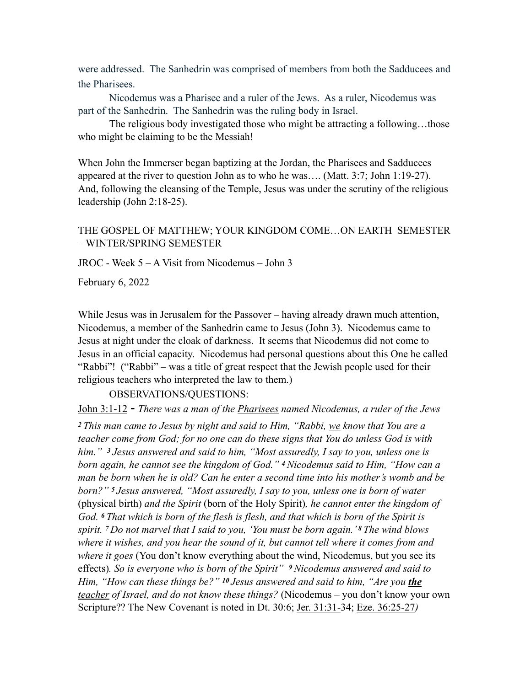were addressed. The Sanhedrin was comprised of members from both the Sadducees and the Pharisees.

Nicodemus was a Pharisee and a ruler of the Jews. As a ruler, Nicodemus was part of the Sanhedrin. The Sanhedrin was the ruling body in Israel.

The religious body investigated those who might be attracting a following…those who might be claiming to be the Messiah!

When John the Immerser began baptizing at the Jordan, the Pharisees and Sadducees appeared at the river to question John as to who he was…. (Matt. 3:7; John 1:19-27). And, following the cleansing of the Temple, Jesus was under the scrutiny of the religious leadership (John 2:18-25).

## THE GOSPEL OF MATTHEW; YOUR KINGDOM COME…ON EARTH SEMESTER – WINTER/SPRING SEMESTER

JROC - Week 5 – A Visit from Nicodemus – John 3

February 6, 2022

While Jesus was in Jerusalem for the Passover – having already drawn much attention, Nicodemus, a member of the Sanhedrin came to Jesus (John 3). Nicodemus came to Jesus at night under the cloak of darkness. It seems that Nicodemus did not come to Jesus in an official capacity. Nicodemus had personal questions about this One he called "Rabbi"! ("Rabbi" – was a title of great respect that the Jewish people used for their religious teachers who interpreted the law to them.)

OBSERVATIONS/QUESTIONS:

John 3:1-12 **-** *There was a man of the Pharisees named Nicodemus, a ruler of the Jews*

*<sup>2</sup>This man came to Jesus by night and said to Him, "Rabbi, we know that You are a teacher come from God; for no one can do these signs that You do unless God is with him." 3 Jesus answered and said to him, "Most assuredly, I say to you, unless one is born again, he cannot see the kingdom of God." 4 Nicodemus said to Him, "How can a man be born when he is old? Can he enter a second time into his mother's womb and be born?" 5 Jesus answered, "Most assuredly, I say to you, unless one is born of water*  (physical birth) *and the Spirit* (born of the Holy Spirit)*, he cannot enter the kingdom of God. 6 That which is born of the flesh is flesh, and that which is born of the Spirit is spirit. 7 Do not marvel that I said to you, 'You must be born again.' 8 The wind blows where it wishes, and you hear the sound of it, but cannot tell where it comes from and where it goes* (You don't know everything about the wind, Nicodemus, but you see its effects)*. So is everyone who is born of the Spirit" 9 Nicodemus answered and said to Him, "How can these things be?" 10 Jesus answered and said to him, "Are you the teacher of Israel, and do not know these things?* (Nicodemus – you don't know your own Scripture?? The New Covenant is noted in Dt. 30:6; Jer. 31:31-34; Eze. 36:25-27*)*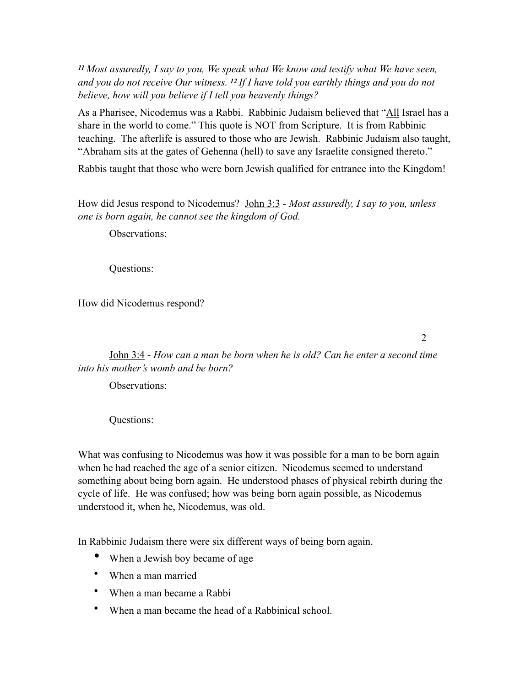*<sup>11</sup>Most assuredly, I say to you, We speak what We know and testify what We have seen, and you do not receive Our witness. 12 If I have told you earthly things and you do not believe, how will you believe if I tell you heavenly things?* 

As a Pharisee, Nicodemus was a Rabbi. Rabbinic Judaism believed that "All Israel has a share in the world to come." This quote is NOT from Scripture. It is from Rabbinic teaching. The afterlife is assured to those who are Jewish. Rabbinic Judaism also taught, "Abraham sits at the gates of Gehenna (hell) to save any Israelite consigned thereto."

Rabbis taught that those who were born Jewish qualified for entrance into the Kingdom!

How did Jesus respond to Nicodemus? John 3:3 - *Most assuredly, I say to you, unless one is born again, he cannot see the kingdom of God.* 

Observations:

Questions:

How did Nicodemus respond?

2

John 3:4 - *How can a man be born when he is old? Can he enter a second time into his mother's womb and be born?*

Observations:

Questions:

What was confusing to Nicodemus was how it was possible for a man to be born again when he had reached the age of a senior citizen. Nicodemus seemed to understand something about being born again. He understood phases of physical rebirth during the cycle of life. He was confused; how was being born again possible, as Nicodemus understood it, when he, Nicodemus, was old.

In Rabbinic Judaism there were six different ways of being born again.

- When a Jewish boy became of age
- When a man married
- When a man became a Rabbi
- When a man became the head of a Rabbinical school.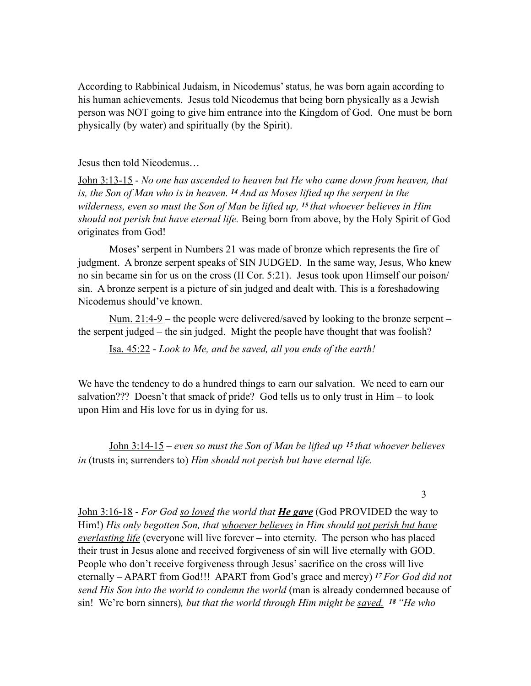According to Rabbinical Judaism, in Nicodemus' status, he was born again according to his human achievements. Jesus told Nicodemus that being born physically as a Jewish person was NOT going to give him entrance into the Kingdom of God. One must be born physically (by water) and spiritually (by the Spirit).

### Jesus then told Nicodemus…

John 3:13-15 - *No one has ascended to heaven but He who came down from heaven, that is, the Son of Man who is in heaven. 14 And as Moses lifted up the serpent in the wilderness, even so must the Son of Man be lifted up, 15 that whoever believes in Him should not perish but have eternal life.* Being born from above, by the Holy Spirit of God originates from God!

 Moses' serpent in Numbers 21 was made of bronze which represents the fire of judgment. A bronze serpent speaks of SIN JUDGED. In the same way, Jesus, Who knew no sin became sin for us on the cross (II Cor. 5:21). Jesus took upon Himself our poison/ sin. A bronze serpent is a picture of sin judged and dealt with. This is a foreshadowing Nicodemus should've known.

Num. 21:4-9 – the people were delivered/saved by looking to the bronze serpent – the serpent judged – the sin judged. Might the people have thought that was foolish?

Isa. 45:22 - *Look to Me, and be saved, all you ends of the earth!* 

We have the tendency to do a hundred things to earn our salvation. We need to earn our salvation??? Doesn't that smack of pride? God tells us to only trust in Him – to look upon Him and His love for us in dying for us.

John 3:14-15 – *even so must the Son of Man be lifted up <sup>15</sup>that whoever believes in* (trusts in; surrenders to) *Him should not perish but have eternal life.* 

#### 3

John 3:16-18 - *For God so loved the world that He gave* (God PROVIDED the way to Him!) *His only begotten Son, that whoever believes in Him should not perish but have everlasting life* (everyone will live forever – into eternity. The person who has placed their trust in Jesus alone and received forgiveness of sin will live eternally with GOD. People who don't receive forgiveness through Jesus' sacrifice on the cross will live eternally – APART from God!!! APART from God's grace and mercy) *17 For God did not send His Son into the world to condemn the world* (man is already condemned because of sin! We're born sinners)*, but that the world through Him might be saved. 18 "He who*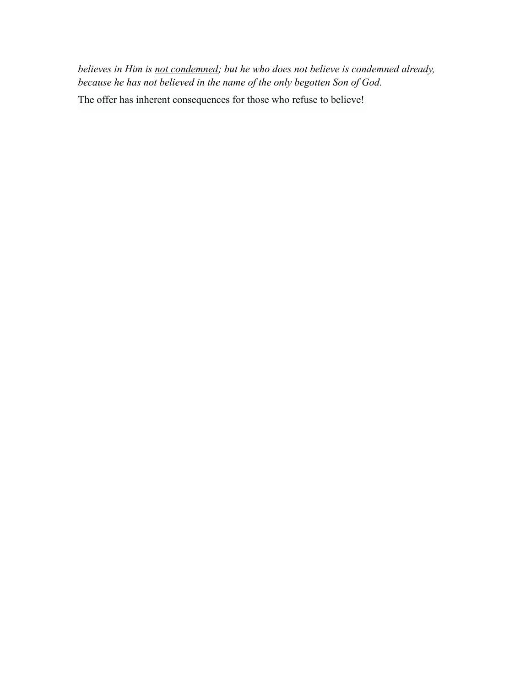*believes in Him is not condemned; but he who does not believe is condemned already, because he has not believed in the name of the only begotten Son of God.* 

The offer has inherent consequences for those who refuse to believe!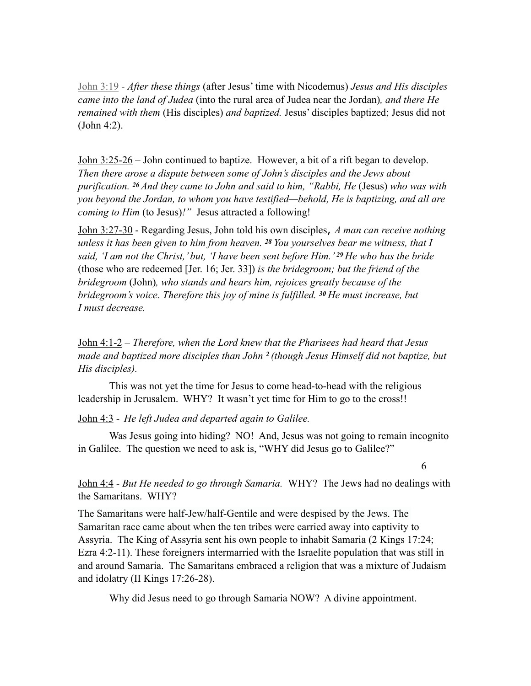John 3:19 - *After these things* (after Jesus' time with Nicodemus) *Jesus and His disciples came into the land of Judea* (into the rural area of Judea near the Jordan)*, and there He remained with them* (His disciples) *and baptized.* Jesus' disciples baptized; Jesus did not (John 4:2).

John 3:25-26 – John continued to baptize. However, a bit of a rift began to develop. *Then there arose a dispute between some of John's disciples and the Jews about purification. 26 And they came to John and said to him, "Rabbi, He* (Jesus) *who was with you beyond the Jordan, to whom you have testified—behold, He is baptizing, and all are coming to Him* (to Jesus)*!"* Jesus attracted a following!

John 3:27-30 - Regarding Jesus, John told his own disciples, *A man can receive nothing unless it has been given to him from heaven. 28 You yourselves bear me witness, that I said, 'I am not the Christ,' but, 'I have been sent before Him.' 29 He who has the bride*  (those who are redeemed [Jer. 16; Jer. 33]) *is the bridegroom; but the friend of the bridegroom* (John)*, who stands and hears him, rejoices greatly because of the bridegroom's voice. Therefore this joy of mine is fulfilled. 30 He must increase, but I must decrease.* 

John 4:1-2 – *Therefore, when the Lord knew that the Pharisees had heard that Jesus made and baptized more disciples than John 2 (though Jesus Himself did not baptize, but His disciples).* 

This was not yet the time for Jesus to come head-to-head with the religious leadership in Jerusalem.WHY? It wasn't yet time for Him to go to the cross!!

### John 4:3 - *He left Judea and departed again to Galilee.*

Was Jesus going into hiding? NO! And, Jesus was not going to remain incognito in Galilee. The question we need to ask is, "WHY did Jesus go to Galilee?"

6

John 4:4 - *But He needed to go through Samaria.* WHY? The Jews had no dealings with the Samaritans. WHY?

The Samaritans were half-Jew/half-Gentile and were despised by the Jews. The Samaritan race came about when the ten tribes were carried away into captivity to Assyria. The King of Assyria sent his own people to inhabit Samaria (2 Kings 17:24; Ezra 4:2-11). These foreigners intermarried with the Israelite population that was still in and around Samaria. The Samaritans embraced a religion that was a mixture of Judaism and idolatry (II Kings 17:26-28).

Why did Jesus need to go through Samaria NOW? A divine appointment.